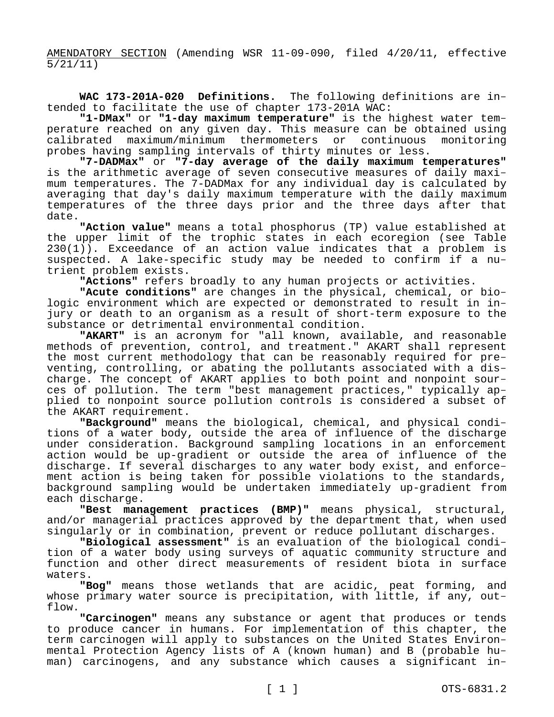AMENDATORY SECTION (Amending WSR 11-09-090, filed 4/20/11, effective 5/21/11)

**WAC 173-201A-020 Definitions.** The following definitions are intended to facilitate the use of chapter 173-201A WAC:

**"1-DMax"** or **"1-day maximum temperature"** is the highest water temperature reached on any given day. This measure can be obtained using<br>calibrated maximum/minimum thermometers or continuous monitoring calibrated maximum/minimum thermometers or continuous probes having sampling intervals of thirty minutes or less.

**"7-DADMax"** or **"7-day average of the daily maximum temperatures"**  is the arithmetic average of seven consecutive measures of daily maximum temperatures. The 7-DADMax for any individual day is calculated by averaging that day's daily maximum temperature with the daily maximum temperatures of the three days prior and the three days after that date.

**"Action value"** means a total phosphorus (TP) value established at the upper limit of the trophic states in each ecoregion (see Table 230(1)). Exceedance of an action value indicates that a problem is suspected. A lake-specific study may be needed to confirm if a nutrient problem exists.

**"Actions"** refers broadly to any human projects or activities.

**"Acute conditions"** are changes in the physical, chemical, or biologic environment which are expected or demonstrated to result in injury or death to an organism as a result of short-term exposure to the substance or detrimental environmental condition.

**"AKART"** is an acronym for "all known, available, and reasonable methods of prevention, control, and treatment." AKART shall represent the most current methodology that can be reasonably required for preventing, controlling, or abating the pollutants associated with a discharge. The concept of AKART applies to both point and nonpoint sources of pollution. The term "best management practices," typically applied to nonpoint source pollution controls is considered a subset of the AKART requirement.

**"Background"** means the biological, chemical, and physical conditions of a water body, outside the area of influence of the discharge under consideration. Background sampling locations in an enforcement action would be up-gradient or outside the area of influence of the discharge. If several discharges to any water body exist, and enforcement action is being taken for possible violations to the standards, background sampling would be undertaken immediately up-gradient from each discharge.

**"Best management practices (BMP)"** means physical, structural, and/or managerial practices approved by the department that, when used singularly or in combination, prevent or reduce pollutant discharges.

**"Biological assessment"** is an evaluation of the biological condition of a water body using surveys of aquatic community structure and function and other direct measurements of resident biota in surface waters.

**"Bog"** means those wetlands that are acidic, peat forming, and whose primary water source is precipitation, with little, if any, outflow.

**"Carcinogen"** means any substance or agent that produces or tends to produce cancer in humans. For implementation of this chapter, the term carcinogen will apply to substances on the United States Environmental Protection Agency lists of A (known human) and B (probable human) carcinogens, and any substance which causes a significant in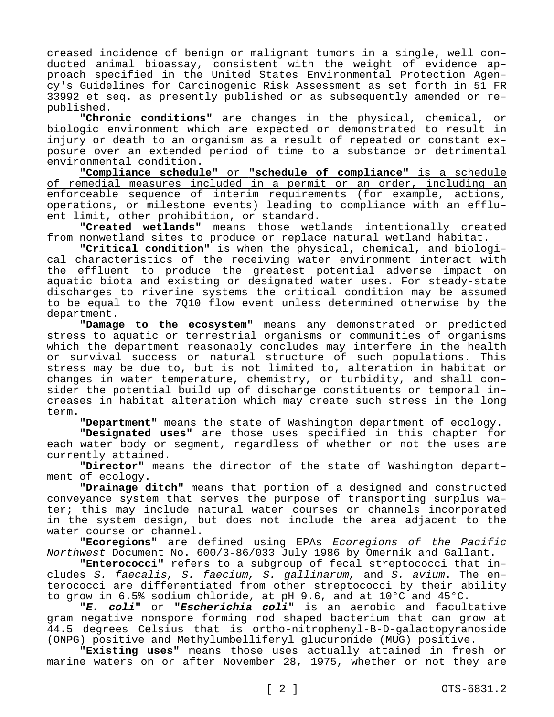creased incidence of benign or malignant tumors in a single, well conducted animal bioassay, consistent with the weight of evidence approach specified in the United States Environmental Protection Agency's Guidelines for Carcinogenic Risk Assessment as set forth in 51 FR 33992 et seq. as presently published or as subsequently amended or republished.

**"Chronic conditions"** are changes in the physical, chemical, or biologic environment which are expected or demonstrated to result in injury or death to an organism as a result of repeated or constant exposure over an extended period of time to a substance or detrimental environmental condition.

**"Compliance schedule"** or **"schedule of compliance"** is a schedule of remedial measures included in a permit or an order, including an enforceable sequence of interim requirements (for example, actions, operations, or milestone events) leading to compliance with an effluent limit, other prohibition, or standard.

**"Created wetlands"** means those wetlands intentionally created from nonwetland sites to produce or replace natural wetland habitat.

**"Critical condition"** is when the physical, chemical, and biological characteristics of the receiving water environment interact with the effluent to produce the greatest potential adverse impact on aquatic biota and existing or designated water uses. For steady-state discharges to riverine systems the critical condition may be assumed to be equal to the 7Q10 flow event unless determined otherwise by the department.

**"Damage to the ecosystem"** means any demonstrated or predicted stress to aquatic or terrestrial organisms or communities of organisms which the department reasonably concludes may interfere in the health or survival success or natural structure of such populations. This stress may be due to, but is not limited to, alteration in habitat or changes in water temperature, chemistry, or turbidity, and shall consider the potential build up of discharge constituents or temporal increases in habitat alteration which may create such stress in the long term.

**"Department"** means the state of Washington department of ecology.

**"Designated uses"** are those uses specified in this chapter for each water body or segment, regardless of whether or not the uses are currently attained.

**"Director"** means the director of the state of Washington department of ecology.

**"Drainage ditch"** means that portion of a designed and constructed conveyance system that serves the purpose of transporting surplus water; this may include natural water courses or channels incorporated in the system design, but does not include the area adjacent to the water course or channel.

**"Ecoregions"** are defined using EPAs *Ecoregions of the Pacific Northwest* Document No. 600/3-86/033 July 1986 by Omernik and Gallant.

**"Enterococci"** refers to a subgroup of fecal streptococci that includes *S. faecalis, S. faecium, S. gallinarum,* and *S. avium*. The enterococci are differentiated from other streptococci by their ability to grow in 6.5% sodium chloride, at pH 9.6, and at 10°C and 45°C.

**"***E. coli***"** or **"***Escherichia coli***"** is an aerobic and facultative gram negative nonspore forming rod shaped bacterium that can grow at 44.5 degrees Celsius that is ortho-nitrophenyl-B-D-galactopyranoside (ONPG) positive and Methylumbelliferyl glucuronide (MUG) positive.

**"Existing uses"** means those uses actually attained in fresh or marine waters on or after November 28, 1975, whether or not they are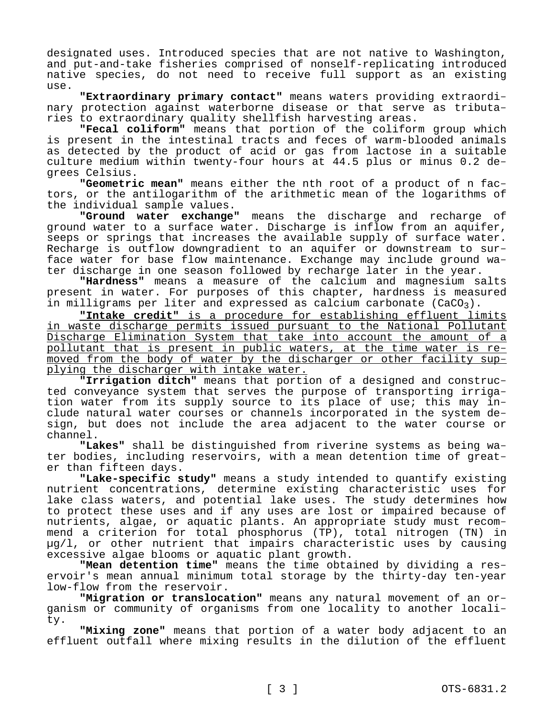designated uses. Introduced species that are not native to Washington, and put-and-take fisheries comprised of nonself-replicating introduced native species, do not need to receive full support as an existing use.

**"Extraordinary primary contact"** means waters providing extraordinary protection against waterborne disease or that serve as tributaries to extraordinary quality shellfish harvesting areas.

**"Fecal coliform"** means that portion of the coliform group which is present in the intestinal tracts and feces of warm-blooded animals as detected by the product of acid or gas from lactose in a suitable culture medium within twenty-four hours at 44.5 plus or minus 0.2 degrees Celsius.

**"Geometric mean"** means either the nth root of a product of n factors, or the antilogarithm of the arithmetic mean of the logarithms of the individual sample values.

**"Ground water exchange"** means the discharge and recharge of ground water to a surface water. Discharge is inflow from an aquifer, seeps or springs that increases the available supply of surface water. Recharge is outflow downgradient to an aquifer or downstream to surface water for base flow maintenance. Exchange may include ground water discharge in one season followed by recharge later in the year.

**"Hardness"** means a measure of the calcium and magnesium salts present in water. For purposes of this chapter, hardness is measured in milligrams per liter and expressed as calcium carbonate  $(CaCO<sub>3</sub>)$ .

**"Intake credit"** is a procedure for establishing effluent limits in waste discharge permits issued pursuant to the National Pollutant Discharge Elimination System that take into account the amount of a pollutant that is present in public waters, at the time water is removed from the body of water by the discharger or other facility supplying the discharger with intake water.

**"Irrigation ditch"** means that portion of a designed and constructed conveyance system that serves the purpose of transporting irrigation water from its supply source to its place of use; this may include natural water courses or channels incorporated in the system design, but does not include the area adjacent to the water course or channel.

**"Lakes"** shall be distinguished from riverine systems as being water bodies, including reservoirs, with a mean detention time of greater than fifteen days.

**"Lake-specific study"** means a study intended to quantify existing nutrient concentrations, determine existing characteristic uses for lake class waters, and potential lake uses. The study determines how to protect these uses and if any uses are lost or impaired because of nutrients, algae, or aquatic plants. An appropriate study must recommend a criterion for total phosphorus (TP), total nitrogen (TN) in µg/l, or other nutrient that impairs characteristic uses by causing excessive algae blooms or aquatic plant growth.

**"Mean detention time"** means the time obtained by dividing a reservoir's mean annual minimum total storage by the thirty-day ten-year low-flow from the reservoir.

**"Migration or translocation"** means any natural movement of an organism or community of organisms from one locality to another locality.

**"Mixing zone"** means that portion of a water body adjacent to an effluent outfall where mixing results in the dilution of the effluent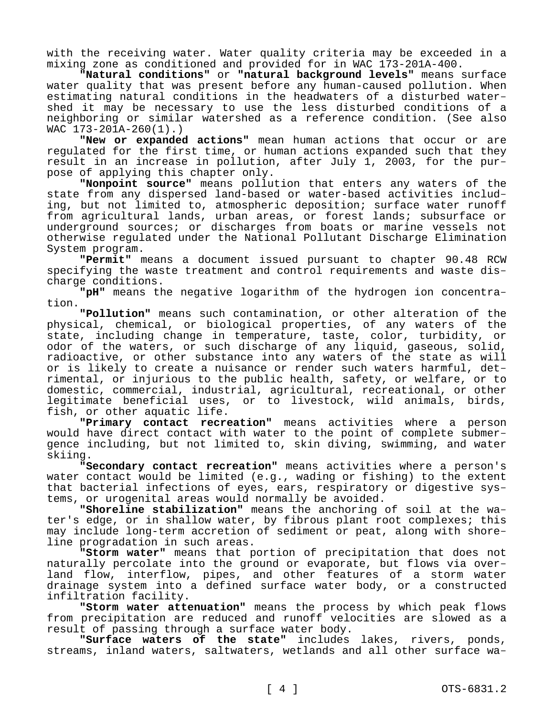with the receiving water. Water quality criteria may be exceeded in a mixing zone as conditioned and provided for in WAC 173-201A-400.

**"Natural conditions"** or **"natural background levels"** means surface water quality that was present before any human-caused pollution. When estimating natural conditions in the headwaters of a disturbed watershed it may be necessary to use the less disturbed conditions of a neighboring or similar watershed as a reference condition. (See also WAC 173-201A-260(1).)

**"New or expanded actions"** mean human actions that occur or are regulated for the first time, or human actions expanded such that they result in an increase in pollution, after July 1, 2003, for the purpose of applying this chapter only.

**"Nonpoint source"** means pollution that enters any waters of the state from any dispersed land-based or water-based activities including, but not limited to, atmospheric deposition; surface water runoff from agricultural lands, urban areas, or forest lands; subsurface or underground sources; or discharges from boats or marine vessels not otherwise regulated under the National Pollutant Discharge Elimination System program.

**"Permit"** means a document issued pursuant to chapter 90.48 RCW specifying the waste treatment and control requirements and waste discharge conditions.

**"pH"** means the negative logarithm of the hydrogen ion concentration.

**"Pollution"** means such contamination, or other alteration of the physical, chemical, or biological properties, of any waters of the state, including change in temperature, taste, color, turbidity, or odor of the waters, or such discharge of any liquid, gaseous, solid, radioactive, or other substance into any waters of the state as will or is likely to create a nuisance or render such waters harmful, detrimental, or injurious to the public health, safety, or welfare, or to domestic, commercial, industrial, agricultural, recreational, or other legitimate beneficial uses, or to livestock, wild animals, birds, fish, or other aquatic life.

**"Primary contact recreation"** means activities where a person would have direct contact with water to the point of complete submergence including, but not limited to, skin diving, swimming, and water skiing.

**"Secondary contact recreation"** means activities where a person's water contact would be limited (e.g., wading or fishing) to the extent that bacterial infections of eyes, ears, respiratory or digestive systems, or urogenital areas would normally be avoided.

**"Shoreline stabilization"** means the anchoring of soil at the water's edge, or in shallow water, by fibrous plant root complexes; this may include long-term accretion of sediment or peat, along with shoreline progradation in such areas.

**"Storm water"** means that portion of precipitation that does not naturally percolate into the ground or evaporate, but flows via overland flow, interflow, pipes, and other features of a storm water drainage system into a defined surface water body, or a constructed infiltration facility.

**"Storm water attenuation"** means the process by which peak flows from precipitation are reduced and runoff velocities are slowed as a result of passing through a surface water body.

**"Surface waters of the state"** includes lakes, rivers, ponds, streams, inland waters, saltwaters, wetlands and all other surface wa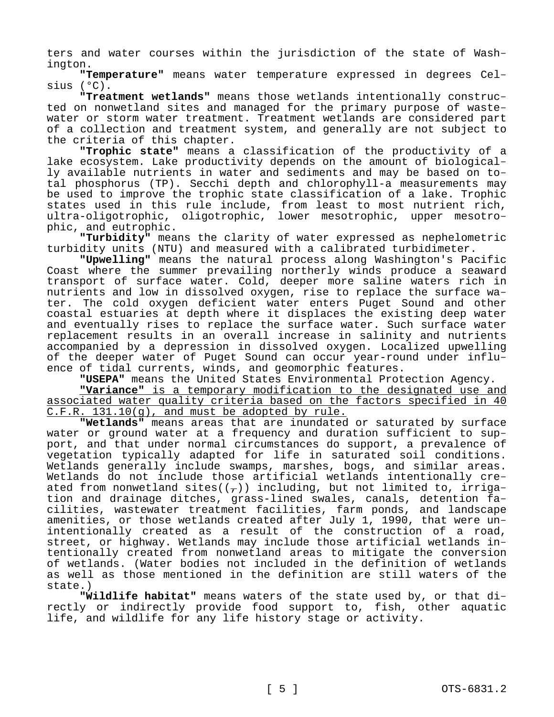ters and water courses within the jurisdiction of the state of Washington.

**"Temperature"** means water temperature expressed in degrees Celsius (°C).

**"Treatment wetlands"** means those wetlands intentionally constructed on nonwetland sites and managed for the primary purpose of wastewater or storm water treatment. Treatment wetlands are considered part of a collection and treatment system, and generally are not subject to the criteria of this chapter.

**"Trophic state"** means a classification of the productivity of a lake ecosystem. Lake productivity depends on the amount of biologically available nutrients in water and sediments and may be based on total phosphorus (TP). Secchi depth and chlorophyll-a measurements may be used to improve the trophic state classification of a lake. Trophic states used in this rule include, from least to most nutrient rich, ultra-oligotrophic, oligotrophic, lower mesotrophic, upper mesotrophic, and eutrophic.

**"Turbidity"** means the clarity of water expressed as nephelometric turbidity units (NTU) and measured with a calibrated turbidimeter.

**"Upwelling"** means the natural process along Washington's Pacific Coast where the summer prevailing northerly winds produce a seaward transport of surface water. Cold, deeper more saline waters rich in nutrients and low in dissolved oxygen, rise to replace the surface water. The cold oxygen deficient water enters Puget Sound and other coastal estuaries at depth where it displaces the existing deep water and eventually rises to replace the surface water. Such surface water replacement results in an overall increase in salinity and nutrients accompanied by a depression in dissolved oxygen. Localized upwelling of the deeper water of Puget Sound can occur year-round under influence of tidal currents, winds, and geomorphic features.

**"USEPA"** means the United States Environmental Protection Agency.

**"Variance"** is a temporary modification to the designated use and associated water quality criteria based on the factors specified in 40 C.F.R. 131.10(g), and must be adopted by rule.

**"Wetlands"** means areas that are inundated or saturated by surface water or ground water at a frequency and duration sufficient to support, and that under normal circumstances do support, a prevalence of vegetation typically adapted for life in saturated soil conditions. Wetlands generally include swamps, marshes, bogs, and similar areas. Wetlands do not include those artificial wetlands intentionally created from nonwetland sites( $(\tau)$ ) including, but not limited to, irrigation and drainage ditches, grass-lined swales, canals, detention facilities, wastewater treatment facilities, farm ponds, and landscape amenities, or those wetlands created after July 1, 1990, that were unintentionally created as a result of the construction of a road, street, or highway. Wetlands may include those artificial wetlands intentionally created from nonwetland areas to mitigate the conversion of wetlands. (Water bodies not included in the definition of wetlands as well as those mentioned in the definition are still waters of the state.)

**"Wildlife habitat"** means waters of the state used by, or that directly or indirectly provide food support to, fish, other aquatic life, and wildlife for any life history stage or activity.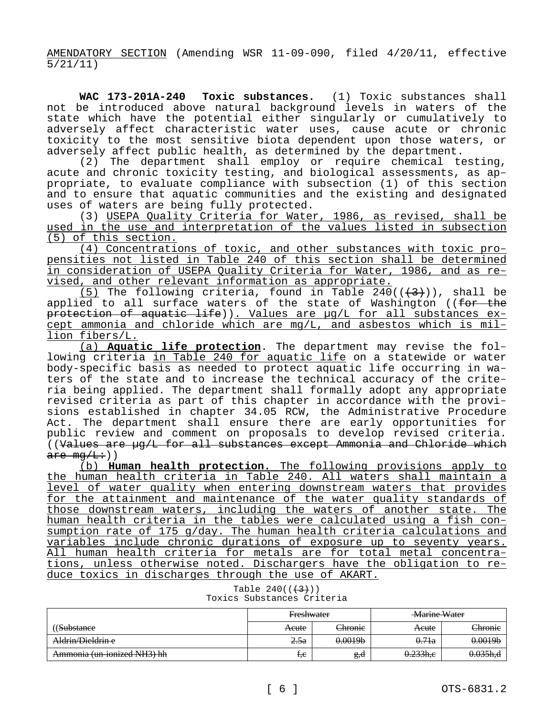AMENDATORY SECTION (Amending WSR 11-09-090, filed 4/20/11, effective 5/21/11)

**WAC 173-201A-240 Toxic substances.** (1) Toxic substances shall not be introduced above natural background levels in waters of the state which have the potential either singularly or cumulatively to adversely affect characteristic water uses, cause acute or chronic toxicity to the most sensitive biota dependent upon those waters, or adversely affect public health, as determined by the department.

(2) The department shall employ or require chemical testing, acute and chronic toxicity testing, and biological assessments, as appropriate, to evaluate compliance with subsection (1) of this section and to ensure that aquatic communities and the existing and designated uses of waters are being fully protected.

(3) USEPA Quality Criteria for Water, 1986, as revised, shall be used in the use and interpretation of the values listed in subsection (5) of this section.

(4) Concentrations of toxic, and other substances with toxic propensities not listed in Table 240 of this section shall be determined in consideration of USEPA Quality Criteria for Water, 1986, and as revised, and other relevant information as appropriate.

 $(5)$  The following criteria, found in Table 240( $(\frac{+3}{+})$ ), shall be applied to all surface waters of the state of Washington (( $f \rightarrow$  the protection of aquatic life)). Values are µg/L for all substances except ammonia and chloride which are mg/L, and asbestos which is million fibers/L.

(a) **Aquatic life protection**. The department may revise the following criteria in Table 240 for aquatic life on a statewide or water body-specific basis as needed to protect aquatic life occurring in waters of the state and to increase the technical accuracy of the criteria being applied. The department shall formally adopt any appropriate revised criteria as part of this chapter in accordance with the provisions established in chapter 34.05 RCW, the Administrative Procedure Act. The department shall ensure there are early opportunities for public review and comment on proposals to develop revised criteria. ((Values are µg/L for all substances except Ammonia and Chloride which are mg/L:))

(b) **Human health protection.** The following provisions apply to the human health criteria in Table 240. All waters shall maintain a level of water quality when entering downstream waters that provides for the attainment and maintenance of the water quality standards of those downstream waters, including the waters of another state. The human health criteria in the tables were calculated using a fish consumption rate of 175 g/day. The human health criteria calculations and variables include chronic durations of exposure up to seventy years. All human health criteria for metals are for total metal concentrations, unless otherwise noted. Dischargers have the obligation to reduce toxics in discharges through the use of AKART.

|  | Table $240((\frac{43}{3}))$ |                            |
|--|-----------------------------|----------------------------|
|  |                             | Toxics Substances Criteria |

|                             | Freshwater |                     | <b>Marine Water</b> |                     |  |
|-----------------------------|------------|---------------------|---------------------|---------------------|--|
| (( <del>Substance</del>     | Acute      | <del>Chronic</del>  | Acute               | <del>Chronic</del>  |  |
| Aldrin/Dieldrin e           | 2.5a       | 0.0019 <sub>b</sub> | 0.71a               | 0.0019 <sub>b</sub> |  |
| Ammonia (un-ionized NH3) hh | ŧ.e        | g,d                 | 0.233h.e            | <del>0.035h.d</del> |  |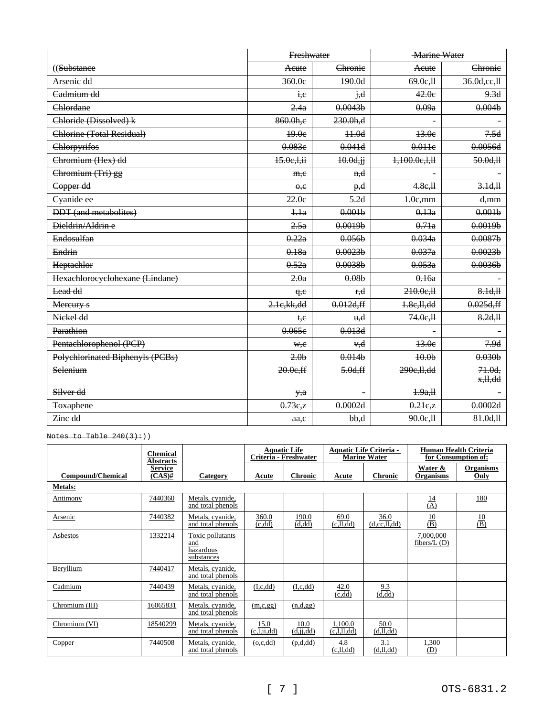|                                  | Freshwater       |                      | <b>Marine Water</b>  |                     |  |
|----------------------------------|------------------|----------------------|----------------------|---------------------|--|
| ((Substance                      | Acute            | Chronie              | Aeute                | Chronie             |  |
| Arsenie dd                       | 360.0e           | 190.0d               | 69.0e, H             | 36.0d, ee, H        |  |
| Cadmium dd                       | i.e              | j,d                  | 42.0e                | 9.3d                |  |
| Chlordane                        | 2.4a             | 0.0043 <sub>b</sub>  | 0.09a                | 0.004 <sub>b</sub>  |  |
| Chloride (Dissolved) k           | 860.0h,e         | 230.0h,d             |                      |                     |  |
| <b>Chlorine (Total Residual)</b> | 49.0e            | $+1.0d$              | 13.0e                | 7.5d                |  |
| Chlorpyrifos                     | 0.083e           | 0.041d               | 0.011e               | 0.0056d             |  |
| Chromium (Hex) dd                | 15.0e, hii       | $40.0d, \mathbf{jj}$ | 1,100.0c,1,11        | 50.0d, H            |  |
| Chromium (Tri) gg                | m,e              | n.d                  |                      |                     |  |
| Copper dd                        | $0$ ; $c$        | p,d                  | 4.8e, H              | 3.1d, H             |  |
| Cyanide ee                       | 22.0e            | 5.2d                 | $4.0e$ , mm          | - <del>d.mm</del>   |  |
| <b>DDT</b> (and metabolites)     | $+1a$            | 0.001 <sub>b</sub>   | 0.13a                | 0.001 <sub>b</sub>  |  |
| Dieldrin/Aldrin e                | 2.5a             | 0.0019 <sub>b</sub>  | 0.71a                | 0.0019 <sub>b</sub> |  |
| Endosulfan                       | 0.22a            | 0.056 <sub>b</sub>   | 0.034a               | 0.0087 <sub>b</sub> |  |
| Endrin                           | 0.18a            | 0.0023b              | 0.037a               | 0.0023b             |  |
| Heptachlor                       | 0.52a            | 0.0038b              | 0.053a               | 0.0036 <sub>b</sub> |  |
| Hexachlorocyclohexane (Lindane)  | 2.0a             | 0.08 <sub>b</sub>    | 0.16a                |                     |  |
| Lead dd                          | q,e              | r <del>.d</del>      | 210.0e, H            | 8.1d, H             |  |
| Mereury s                        | 2.1e, kk, dd     | 0.012d, ff           | 1.8c, H, dd          | 0.025d, ff          |  |
| Nickel dd                        | t.e              | ₩,                   | 74.0e, H             | 8.2d, H             |  |
| Parathion                        | 0.065e           | 0.013d               |                      |                     |  |
| Pentachlorophenol (PCP)          | ₩,e              | v,d                  | 13.0e                | 7.9d                |  |
| Polychlorinated Biphenyls (PCBs) | 2.0 <sub>b</sub> | 0.014 <sub>b</sub>   | 40.0 <sub>b</sub>    | 0.030 <sub>b</sub>  |  |
| Selenium                         | 20.0e,ff         | 5.0d, ff             | 290e, H, dd          | 71.0d<br>x, H, dd   |  |
| Silver dd                        | y, a             |                      | 4.9a,H               |                     |  |
| <b>Toxaphene</b>                 | 0.73c, z         | 0.0002d              | $0.21c$ <sub>z</sub> | 0.0002d             |  |
| Zine dd                          | a.e.             | $bb,d$               | 90.0e, H             | 81.0d, H            |  |

Notes to Table  $240(3)$ :

|                          | <b>Chemical</b><br><b>Abstracts</b> |                                                    |                     | <b>Aquatic Life</b><br>Criteria - Freshwater |                           | <b>Aquatic Life Criteria -</b><br><b>Marine Water</b> |                              | <b>Human Health Criteria</b><br>for Consumption of: |
|--------------------------|-------------------------------------|----------------------------------------------------|---------------------|----------------------------------------------|---------------------------|-------------------------------------------------------|------------------------------|-----------------------------------------------------|
| <b>Compound/Chemical</b> | <b>Service</b><br>$(CAS)$ #         | Category                                           | Acute               | <b>Chronic</b>                               | <b>Acute</b>              | <b>Chronic</b>                                        | Water &<br><b>Organisms</b>  | <b>Organisms</b><br>Only                            |
| <b>Metals:</b>           |                                     |                                                    |                     |                                              |                           |                                                       |                              |                                                     |
| Antimony                 | 7440360                             | Metals, cyanide,<br>and total phenols              |                     |                                              |                           |                                                       | $\frac{14}{(A)}$             | 180                                                 |
| Arsenic                  | 7440382                             | Metals, cyanide,<br>and total phenols              | 360.0<br>(c, dd)    | 190.0<br>(d, dd)                             | 69.0<br>(c,ll,dd)         | 36.0<br>(d, cc, ll, dd)                               | $\frac{10}{(B)}$             | $\frac{10}{\text{(B)}}$                             |
| Asbestos                 | 1332214                             | Toxic pollutants<br>and<br>hazardous<br>substances |                     |                                              |                           |                                                       | 7,000,000<br>fibers/ $L$ (D) |                                                     |
| Beryllium                | 7440417                             | Metals, cyanide,<br>and total phenols              |                     |                                              |                           |                                                       |                              |                                                     |
| Cadmium                  | 7440439                             | Metals, cyanide,<br>and total phenols              | (I, c, dd)          | (I, c, dd)                                   | 42.0<br>(c, dd)           | 9.3<br>(d, dd)                                        |                              |                                                     |
| Chromium (III)           | 16065831                            | Metals, cyanide,<br>and total phenols              | (m,c,gg)            | (n,d,gg)                                     |                           |                                                       |                              |                                                     |
| Chromium (VI)            | 18540299                            | Metals, cyanide,<br>and total phenols              | 15.0<br>(c,l,ii,dd) | 10.0<br>(d, jj, dd)                          | 1,100.0<br>(c, l, ll, dd) | 50.0<br>(d,ll,dd)                                     |                              |                                                     |
| Copper                   | 7440508                             | Metals, cyanide,<br>and total phenols              | (o,c,dd)            | (p,d,dd)                                     | 4.8<br>(c,ll,dd)          | 3.1<br>(d,ll,dd)                                      | 1,300<br>(D)                 |                                                     |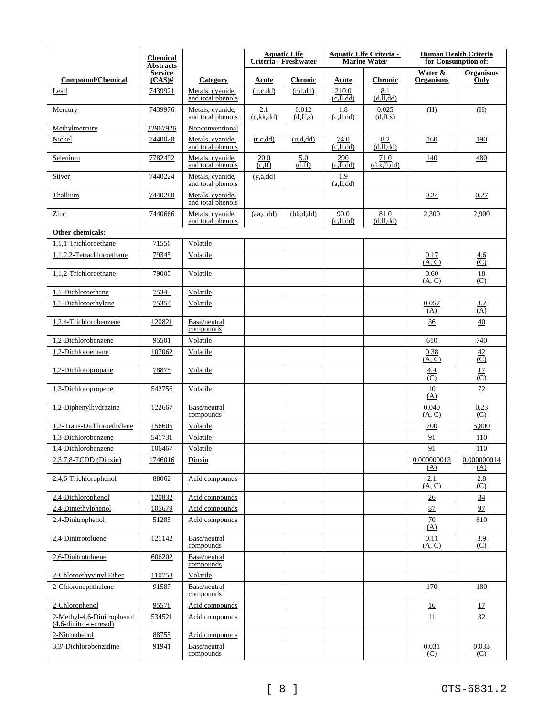|                                                      | <b>Chemical</b><br><b>Abstracts</b> |                                       | <b>Aquatic Life</b><br>Criteria - Freshwater |                          | <b>Aquatic Life Criteria -</b><br><b>Marine Water</b> |                               | <b>Human Health Criteria</b><br>for Consumption of: |                               |
|------------------------------------------------------|-------------------------------------|---------------------------------------|----------------------------------------------|--------------------------|-------------------------------------------------------|-------------------------------|-----------------------------------------------------|-------------------------------|
| <b>Compound/Chemical</b>                             | <b>Service</b><br>$(CAS)$ #         | Category                              | Acute                                        | <b>Chronic</b>           | Acute                                                 | <b>Chronic</b>                | Water &<br><b>Organisms</b>                         | <b>Organisms</b><br>Only      |
| Lead                                                 | 7439921                             | Metals, cyanide,<br>and total phenols | (q, c, dd)                                   | (r,d,dd)                 | 210.0<br>(c,ll,dd)                                    | 8.1<br>$(d,\overline{dl},dd)$ |                                                     |                               |
| Mercury                                              | 7439976                             | Metals, cyanide,<br>and total phenols | 2.1<br>(c, kk, dd)                           | 0.012<br>(d, ff, s)      | 1.8<br>(c,ll,dd)                                      | 0.025<br>(d, ff, s)           | (H)                                                 | (H)                           |
| Methylmercury                                        | 22967926                            | Nonconventional                       |                                              |                          |                                                       |                               |                                                     |                               |
| Nickel                                               | 7440020                             | Metals, cyanide,<br>and total phenols | (t, c, dd)                                   | (u,d,dd)                 | 74.0<br>(c,ll,dd)                                     | 8.2<br>(d,ll,dd)              | 160                                                 | 190                           |
| Selenium                                             | 7782492                             | Metals, cyanide,<br>and total phenols | 20.0<br>(c, ff)                              | 5.0<br>$\overline{d,ff}$ | 290<br>(c,ll,dd)                                      | 71.0<br>(d, x, ll, dd)        | 140                                                 | 480                           |
| Silver                                               | 7440224                             | Metals, cvanide,<br>and total phenols | (y, a, dd)                                   |                          | 1.9<br>$(a,\overline{dl,dd})$                         |                               |                                                     |                               |
| Thallium                                             | 7440280                             | Metals, cvanide,<br>and total phenols |                                              |                          |                                                       |                               | 0.24                                                | 0.27                          |
| Zinc                                                 | 7440666                             | Metals, cyanide,<br>and total phenols | (aa,c,dd)                                    | (bb,d,dd)                | 90.0<br>(c,ll,dd)                                     | 81.0<br>(d,ll,dd)             | 2,300                                               | 2,900                         |
| Other chemicals:                                     |                                     |                                       |                                              |                          |                                                       |                               |                                                     |                               |
| 1,1,1-Trichloroethane                                | 71556                               | Volatile                              |                                              |                          |                                                       |                               |                                                     |                               |
| 1,1,2,2-Tetrachloroethane                            | 79345                               | Volatile                              |                                              |                          |                                                       |                               | 0.17<br>(A, C)                                      | $\frac{4.6}{(C)}$             |
| 1,1,2-Trichloroethane                                | 79005                               | Volatile                              |                                              |                          |                                                       |                               | 0.60<br>(A, C)                                      | $\frac{18}{(C)}$              |
| 1,1-Dichloroethane                                   | 75343                               | Volatile                              |                                              |                          |                                                       |                               |                                                     |                               |
| 1,1-Dichloroethylene                                 | 75354                               | Volatile                              |                                              |                          |                                                       |                               | 0.057<br>(A)                                        | 3.2<br>(A)                    |
| 1,2,4-Trichlorobenzene                               | 120821                              | Base/neutral<br>compounds             |                                              |                          |                                                       |                               | $\frac{36}{5}$                                      | $\overline{40}$               |
| 1,2-Dichlorobenzene                                  | 95501                               | Volatile                              |                                              |                          |                                                       |                               | 610                                                 | 740                           |
| 1,2-Dichloroethane                                   | 107062                              | Volatile                              |                                              |                          |                                                       |                               | 0.38<br>(A, C)                                      | $\frac{42}{(C)}$              |
| 1,2-Dichloropropane                                  | 78875                               | Volatile                              |                                              |                          |                                                       |                               | $\frac{4.4}{(C)}$                                   | 17<br>$\overline{\mathbb{C}}$ |
| 1,3-Dichloropropene                                  | 542756                              | Volatile                              |                                              |                          |                                                       |                               | 10<br>(A)                                           | 72                            |
| 1,2-Diphenylhydrazine                                | 122667                              | Base/neutral<br>compounds             |                                              |                          |                                                       |                               | 0.040<br>(A, C)                                     | 0.23<br>(C)                   |
| 1,2-Trans-Dichloroethylene                           | 156605                              | Volatile                              |                                              |                          |                                                       |                               | 700                                                 | 5,800                         |
| 1,3-Dichlorobenzene                                  | 541731                              | Volatile                              |                                              |                          |                                                       |                               | 91                                                  | 110                           |
| 1.4-Dichlorobenzene                                  | 106467                              | Volatile                              |                                              |                          |                                                       |                               | 91                                                  | 110                           |
| $2,3,7,8$ -TCDD (Dioxin)                             | 1746016                             | Dioxin                                |                                              |                          |                                                       |                               | 0.000000013<br>(A)                                  | 0.000000014<br>(A)            |
| 2,4,6-Trichlorophenol                                | 88062                               | Acid compounds                        |                                              |                          |                                                       |                               | 2.1<br>(A, C)                                       | $\frac{2.8}{(C)}$             |
| 2,4-Dichlorophenol                                   | 120832                              | Acid compounds                        |                                              |                          |                                                       |                               | 26                                                  | 34                            |
| 2,4-Dimethylphenol                                   | 105679                              | Acid compounds                        |                                              |                          |                                                       |                               | 87                                                  | 97                            |
| 2,4-Dinitrophenol                                    | 51285                               | Acid compounds                        |                                              |                          |                                                       |                               | $\overline{20}$<br>$\overline{(\overline{A})}$      | 610                           |
| 2,4-Dinitrotoluene                                   | 121142                              | Base/neutral<br>compounds             |                                              |                          |                                                       |                               | 0.11<br>(A, C)                                      | $\frac{3.9}{(C)}$             |
| 2,6-Dinitrotoluene                                   | 606202                              | Base/neutral<br>compounds             |                                              |                          |                                                       |                               |                                                     |                               |
| 2-Chloroethyvinyl Ether                              | 110758                              | Volatile                              |                                              |                          |                                                       |                               |                                                     |                               |
| 2-Chloronaphthalene                                  | 91587                               | Base/neutral<br>compounds             |                                              |                          |                                                       |                               | 170                                                 | 180                           |
| 2-Chlorophenol                                       | 95578                               | Acid compounds                        |                                              |                          |                                                       |                               | <u>16</u>                                           | 17                            |
| 2-Methyl-4,6-Dinitrophenol<br>(4,6-dinitro-o-cresol) | 534521                              | Acid compounds                        |                                              |                          |                                                       |                               | 11                                                  | 32                            |
| 2-Nitrophenol                                        | 88755                               | Acid compounds                        |                                              |                          |                                                       |                               |                                                     |                               |
| 3,3'-Dichlorobenzidine                               | 91941                               | Base/neutral<br>compounds             |                                              |                          |                                                       |                               | 0.031<br>(C)                                        | 0.033<br>(C)                  |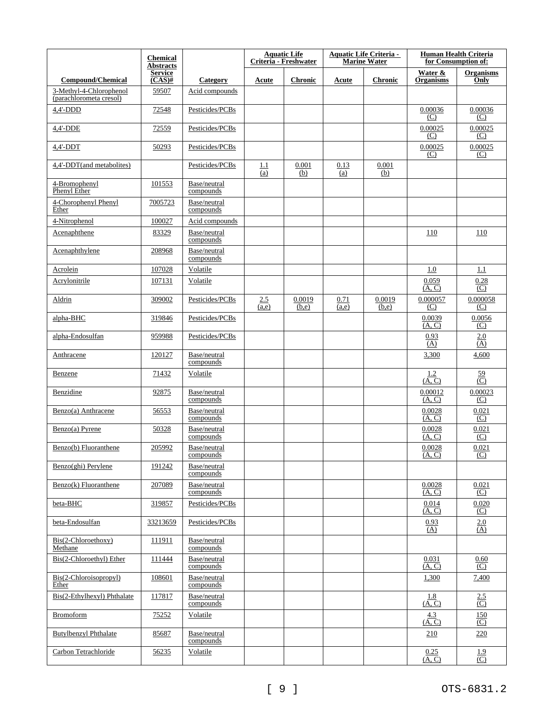|                                                    | <b>Chemical</b><br><b>Abstracts</b>              |                           |              | <b>Aquatic Life</b><br>Criteria - Freshwater | <b>Aquatic Life Criteria -</b><br><b>Marine Water</b> |                 | <b>Human Health Criteria</b><br>for Consumption of: |                          |
|----------------------------------------------------|--------------------------------------------------|---------------------------|--------------|----------------------------------------------|-------------------------------------------------------|-----------------|-----------------------------------------------------|--------------------------|
| <b>Compound/Chemical</b>                           | <b>Service</b><br>$\overline{\text{(CAS)}^{\#}}$ | Category                  | Acute        | <b>Chronic</b>                               | Acute                                                 | <b>Chronic</b>  | Water &<br><b>Organisms</b>                         | <b>Organisms</b><br>Only |
| 3-Methyl-4-Chlorophenol<br>(parachlorometa cresol) | 59507                                            | Acid compounds            |              |                                              |                                                       |                 |                                                     |                          |
| $4,4'-DDD$                                         | 72548                                            | Pesticides/PCBs           |              |                                              |                                                       |                 | 0.00036<br>(C)                                      | 0.00036<br>(C)           |
| 4,4'-DDE                                           | 72559                                            | Pesticides/PCBs           |              |                                              |                                                       |                 | 0.00025<br>(C)                                      | 0.00025<br>(C)           |
| $4,4'-DDT$                                         | 50293                                            | Pesticides/PCBs           |              |                                              |                                                       |                 | 0.00025<br>(C)                                      | 0.00025<br>(C)           |
| 4,4'-DDT(and metabolites)                          |                                                  | Pesticides/PCBs           | 1.1<br>(a)   | 0.001<br>(b)                                 | 0.13<br>(a)                                           | 0.001<br>(b)    |                                                     |                          |
| 4-Bromophenyl<br>Phenyl Ether                      | 101553                                           | Base/neutral<br>compounds |              |                                              |                                                       |                 |                                                     |                          |
| 4-Chorophenyl Phenyl<br>Ether                      | 7005723                                          | Base/neutral<br>compounds |              |                                              |                                                       |                 |                                                     |                          |
| 4-Nitrophenol                                      | 100027                                           | Acid compounds            |              |                                              |                                                       |                 |                                                     |                          |
| Acenaphthene                                       | 83329                                            | Base/neutral<br>compounds |              |                                              |                                                       |                 | 110                                                 | 110                      |
| Acenaphthylene                                     | 208968                                           | Base/neutral<br>compounds |              |                                              |                                                       |                 |                                                     |                          |
| Acrolein                                           | 107028                                           | Volatile                  |              |                                              |                                                       |                 | 1.0                                                 | 1.1                      |
| Acrylonitrile                                      | 107131                                           | Volatile                  |              |                                              |                                                       |                 | 0.059<br>(A, C)                                     | 0.28<br>(C)              |
| Aldrin                                             | 309002                                           | Pesticides/PCBs           | 2.5<br>(a,e) | 0.0019<br>(b,e)                              | 0.71<br>(a,e)                                         | 0.0019<br>(b,e) | 0.000057<br>(C)                                     | 0.000058<br>(C)          |
| alpha-BHC                                          | 319846                                           | Pesticides/PCBs           |              |                                              |                                                       |                 | 0.0039<br>(A, C)                                    | 0.0056<br>(C)            |
| alpha-Endosulfan                                   | 959988                                           | Pesticides/PCBs           |              |                                              |                                                       |                 | 0.93<br>(A)                                         | 2.0<br>$\overline{(A)}$  |
| Anthracene                                         | 120127                                           | Base/neutral<br>compounds |              |                                              |                                                       |                 | 3,300                                               | 4,600                    |
| Benzene                                            | 71432                                            | Volatile                  |              |                                              |                                                       |                 | 1.2<br>(A, C)                                       | 59<br>$\overline{C}$     |
| Benzidine                                          | 92875                                            | Base/neutral<br>compounds |              |                                              |                                                       |                 | 0.00012<br>(A, C)                                   | 0.00023<br>$\circ$       |
| Benzo(a) Anthracene                                | 56553                                            | Base/neutral<br>compounds |              |                                              |                                                       |                 | 0.0028<br>(A, C)                                    | 0.021<br>(C)             |
| Benzo(a) Pyrene                                    | 50328                                            | Base/neutral<br>compounds |              |                                              |                                                       |                 | 0.0028<br>(A, C)                                    | 0.021<br>(C)             |
| Benzo(b) Fluoranthene                              | 205992                                           | Base/neutral<br>compounds |              |                                              |                                                       |                 | 0.0028<br>(A, C)                                    | 0.021<br>$\overline{C}$  |
| Benzo(ghi) Perylene                                | 191242                                           | Base/neutral<br>compounds |              |                                              |                                                       |                 |                                                     |                          |
| Benzo(k) Fluoranthene                              | 207089                                           | Base/neutral<br>compounds |              |                                              |                                                       |                 | 0.0028<br>(A, C)                                    | 0.021<br>(C)             |
| beta-BHC                                           | 319857                                           | Pesticides/PCBs           |              |                                              |                                                       |                 | 0.014<br>(A, C)                                     | 0.020<br>(C)             |
| beta-Endosulfan                                    | 33213659                                         | Pesticides/PCBs           |              |                                              |                                                       |                 | 0.93<br>(A)                                         | $\frac{2.0}{(A)}$        |
| Bis(2-Chloroethoxy)<br>Methane                     | 111911                                           | Base/neutral<br>compounds |              |                                              |                                                       |                 |                                                     |                          |
| Bis(2-Chloroethyl) Ether                           | 111444                                           | Base/neutral<br>compounds |              |                                              |                                                       |                 | 0.031<br>(A, C)                                     | 0.60<br>(C)              |
| Bis(2-Chloroisopropyl)<br>Ether                    | 108601                                           | Base/neutral<br>compounds |              |                                              |                                                       |                 | 1,300                                               | 7,400                    |
| Bis(2-Ethylhexyl) Phthalate                        | 117817                                           | Base/neutral<br>compounds |              |                                              |                                                       |                 | 1.8<br>(A, C)                                       | 2.5<br>(C)               |
| Bromoform                                          | 75252                                            | Volatile                  |              |                                              |                                                       |                 | <u>4.3</u><br>(A, C)                                | 150<br>$\overline{C}$    |
| <b>Butylbenzyl Phthalate</b>                       | 85687                                            | Base/neutral<br>compounds |              |                                              |                                                       |                 | 210                                                 | 220                      |
| Carbon Tetrachloride                               | 56235                                            | Volatile                  |              |                                              |                                                       |                 | $\frac{0.25}{(\mathbf{A}, \mathbf{C})}$             | $\frac{1.9}{(C)}$        |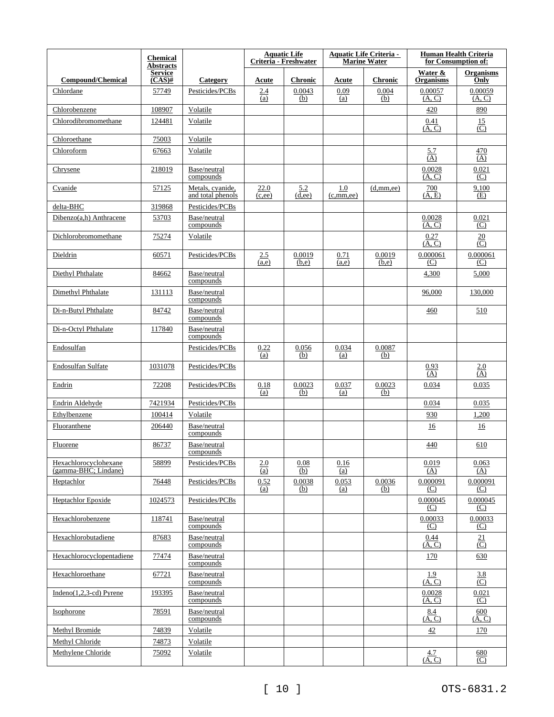|                                               | <b>Chemical</b><br><b>Abstracts</b> |                                       |                | <b>Aquatic Life</b><br>Criteria - Freshwater |                    | <b>Aquatic Life Criteria -</b><br><b>Marine Water</b> |                                           | <b>Human Health Criteria</b><br>for Consumption of: |
|-----------------------------------------------|-------------------------------------|---------------------------------------|----------------|----------------------------------------------|--------------------|-------------------------------------------------------|-------------------------------------------|-----------------------------------------------------|
| <b>Compound/Chemical</b>                      | <b>Service</b><br>$(CAS)$ #         | Category                              | Acute          | <b>Chronic</b>                               | Acute              | <b>Chronic</b>                                        | Water &<br><b>Organisms</b>               | <b>Organisms</b><br>Only                            |
| Chlordane                                     | 57749                               | Pesticides/PCBs                       | 2.4<br>(a)     | 0.0043<br>(b)                                | 0.09<br>(a)        | 0.004<br>(b)                                          | 0.00057<br>(A, C)                         | 0.00059<br>(A, C)                                   |
| Chlorobenzene                                 | 108907                              | Volatile                              |                |                                              |                    |                                                       | 420                                       | 890                                                 |
| Chlorodibromomethane                          | 124481                              | Volatile                              |                |                                              |                    |                                                       | 0.41<br>(A, C)                            | 15<br>$\overline{C}$                                |
| Chloroethane                                  | 75003                               | Volatile                              |                |                                              |                    |                                                       |                                           |                                                     |
| Chloroform                                    | 67663                               | Volatile                              |                |                                              |                    |                                                       | 5.7<br>(A)                                | 470<br>(A)                                          |
| Chrysene                                      | 218019                              | Base/neutral<br>compounds             |                |                                              |                    |                                                       | 0.0028<br>(A, C)                          | 0.021<br>(C)                                        |
| Cyanide                                       | 57125                               | Metals, cyanide,<br>and total phenols | 22.0<br>(c,ee) | 5.2<br>(d,ee)                                | 1.0<br>(c, mm, ee) | (d, mm, ee)                                           | 700<br>$(\overline{A}, \overline{E})$     | 9,100<br>(E)                                        |
| delta-BHC                                     | 319868                              | Pesticides/PCBs                       |                |                                              |                    |                                                       |                                           |                                                     |
| $Dibenzo(a,h)$ Anthracene                     | 53703                               | Base/neutral<br>compounds             |                |                                              |                    |                                                       | 0.0028<br>(A, C)                          | 0.021<br>$\circ$                                    |
| Dichlorobromomethane                          | 75274                               | Volatile                              |                |                                              |                    |                                                       | 0.27<br>(A, C)                            | 20<br>$\overline{C}$                                |
| Dieldrin                                      | 60571                               | Pesticides/PCBs                       | 2.5<br>(a,e)   | 0.0019<br>(b,e)                              | 0.71<br>(a,e)      | 0.0019<br>(b,e)                                       | 0.000061<br>(C)                           | 0.000061<br>(C)                                     |
| Diethyl Phthalate                             | 84662                               | Base/neutral<br>compounds             |                |                                              |                    |                                                       | 4,300                                     | 5,000                                               |
| Dimethyl Phthalate                            | 131113                              | Base/neutral<br>compounds             |                |                                              |                    |                                                       | 96,000                                    | 130,000                                             |
| Di-n-Butyl Phthalate                          | 84742                               | Base/neutral<br>compounds             |                |                                              |                    |                                                       | 460                                       | 510                                                 |
| Di-n-Octyl Phthalate                          | 117840                              | Base/neutral<br>compounds             |                |                                              |                    |                                                       |                                           |                                                     |
| Endosulfan                                    |                                     | Pesticides/PCBs                       | 0.22<br>(a)    | 0.056<br>(b)                                 | 0.034<br>(a)       | 0.0087<br>(b)                                         |                                           |                                                     |
| Endosulfan Sulfate                            | 1031078                             | Pesticides/PCBs                       |                |                                              |                    |                                                       | 0.93<br>(A)                               | 2.0<br>$\overline{(A)}$                             |
| Endrin                                        | 72208                               | Pesticides/PCBs                       | 0.18<br>(a)    | 0.0023<br>(b)                                | 0.037<br>(a)       | 0.0023<br>(b)                                         | 0.034                                     | 0.035                                               |
| Endrin Aldehyde                               | 7421934                             | Pesticides/PCBs                       |                |                                              |                    |                                                       | 0.034                                     | 0.035                                               |
| Ethylbenzene                                  | 100414                              | Volatile                              |                |                                              |                    |                                                       | 930                                       | 1,200                                               |
| Fluoranthene                                  | 206440                              | Base/neutral<br>compounds             |                |                                              |                    |                                                       | 16                                        | 16                                                  |
| Fluorene                                      | 86737                               | Base/neutral<br>compounds             |                |                                              |                    |                                                       | 440                                       | 610                                                 |
| Hexachlorocyclohexane<br>(gamma-BHC; Lindane) | 58899                               | Pesticides/PCBs                       | 2.0<br>(a)     | 0.08<br>(b)                                  | 0.16<br>(a)        |                                                       | 0.019<br>(A)                              | 0.063<br>(A)                                        |
| Heptachlor                                    | 76448                               | Pesticides/PCBs                       | 0.52<br>(a)    | 0.0038<br>(b)                                | 0.053<br>(a)       | 0.0036<br>(b)                                         | 0.000091<br>(C)                           | 0.000091<br>$\circ$                                 |
| <b>Heptachlor Epoxide</b>                     | 1024573                             | Pesticides/PCBs                       |                |                                              |                    |                                                       | 0.000045<br>$\circ$                       | 0.000045<br>(C)                                     |
| Hexachlorobenzene                             | 118741                              | Base/neutral<br>compounds             |                |                                              |                    |                                                       | 0.00033<br>(C)                            | 0.00033<br>(C)                                      |
| Hexachlorobutadiene                           | 87683                               | Base/neutral<br>compounds             |                |                                              |                    |                                                       | 0.44<br>(A, C)                            | $\frac{21}{(C)}$                                    |
| Hexachlorocyclopentadiene                     | 77474                               | Base/neutral<br>compounds             |                |                                              |                    |                                                       | <u>170</u>                                | 630                                                 |
| Hexachloroethane                              | 67721                               | Base/neutral<br>compounds             |                |                                              |                    |                                                       | 1.9<br>(A, C)                             | 3.8<br>(C)                                          |
| Indeno $(1,2,3-cd)$ Pyrene                    | 193395                              | Base/neutral<br>compounds             |                |                                              |                    |                                                       | 0.0028<br>(A, C)                          | 0.021<br>$\circ$                                    |
| Isophorone                                    | 78591                               | Base/neutral<br>compounds             |                |                                              |                    |                                                       | 8.4<br>(A, C)                             | 600<br>(A, C)                                       |
| <b>Methyl Bromide</b>                         | 74839                               | Volatile                              |                |                                              |                    |                                                       | $\frac{42}{5}$                            | 170                                                 |
| Methyl Chloride                               | 74873                               | Volatile                              |                |                                              |                    |                                                       |                                           |                                                     |
| Methylene Chloride                            | 75092                               | Volatile                              |                |                                              |                    |                                                       | $\frac{4.7}{(\overline{A},\overline{C})}$ | $\frac{680}{(C)}$                                   |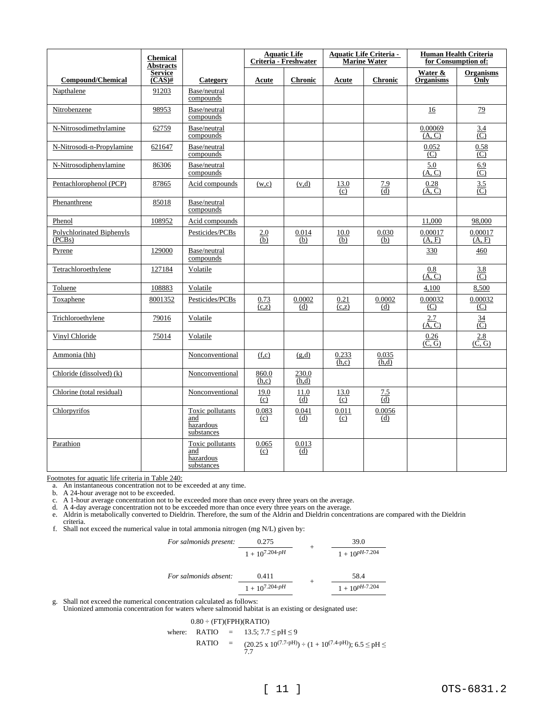|                                     | <b>Chemical</b><br><b>Abstracts</b> |                                                    |                | <b>Aquatic Life</b><br>Criteria - Freshwater |                | <b>Aquatic Life Criteria -</b><br><b>Marine Water</b> |                             | <b>Human Health Criteria</b><br>for Consumption of: |
|-------------------------------------|-------------------------------------|----------------------------------------------------|----------------|----------------------------------------------|----------------|-------------------------------------------------------|-----------------------------|-----------------------------------------------------|
| <b>Compound/Chemical</b>            | <b>Service</b><br>$(CAS)$ #         | Category                                           | Acute          | <b>Chronic</b>                               | Acute          | <b>Chronic</b>                                        | Water &<br><b>Organisms</b> | <b>Organisms</b><br>Only                            |
| Napthalene                          | 91203                               | Base/neutral<br>compounds                          |                |                                              |                |                                                       |                             |                                                     |
| Nitrobenzene                        | 98953                               | Base/neutral<br>compounds                          |                |                                              |                |                                                       | 16                          | <u>79</u>                                           |
| N-Nitrosodimethylamine              | 62759                               | Base/neutral<br>compounds                          |                |                                              |                |                                                       | 0.00069<br>(A, C)           | $\frac{3.4}{(C)}$                                   |
| N-Nitrosodi-n-Propylamine           | 621647                              | Base/neutral<br>compounds                          |                |                                              |                |                                                       | 0.052<br>(C)                | 0.58<br>(C)                                         |
| N-Nitrosodiphenylamine              | 86306                               | Base/neutral<br>compounds                          |                |                                              |                |                                                       | 5.0<br>(A, C)               | 6.9<br>$\overline{C}$                               |
| Pentachlorophenol (PCP)             | 87865                               | Acid compounds                                     | (w, c)         | (v,d)                                        | 13.0<br>(c)    | <u>7.9</u><br>(d)                                     | 0.28<br>(A, C)              | 3.5<br>$\overline{C}$                               |
| Phenanthrene                        | 85018                               | Base/neutral<br>compounds                          |                |                                              |                |                                                       |                             |                                                     |
| Phenol                              | 108952                              | Acid compounds                                     |                |                                              |                |                                                       | 11,000                      | 98,000                                              |
| Polychlorinated Biphenyls<br>(PCBs) |                                     | Pesticides/PCBs                                    | 2.0<br>(b)     | 0.014<br>(b)                                 | 10.0<br>(b)    | 0.030<br>(b)                                          | 0.00017<br>(A, F)           | 0.00017<br>(A, F)                                   |
| Pyrene                              | 129000                              | Base/neutral<br>compounds                          |                |                                              |                |                                                       | 330                         | 460                                                 |
| Tetrachloroethylene                 | 127184                              | Volatile                                           |                |                                              |                |                                                       | 0.8<br>(A, C)               | 3.8<br>$\overline{(\overline{C})}$                  |
| Toluene                             | 108883                              | Volatile                                           |                |                                              |                |                                                       | 4,100                       | 8,500                                               |
| Toxaphene                           | 8001352                             | Pesticides/PCBs                                    | 0.73<br>(c,z)  | 0.0002<br>(d)                                | 0.21<br>(c,z)  | 0.0002<br>(d)                                         | 0.00032<br>(C)              | 0.00032<br>$\circ$                                  |
| Trichloroethylene                   | 79016                               | Volatile                                           |                |                                              |                |                                                       | 2.7<br>(A, C)               | $\frac{34}{(C)}$                                    |
| Vinyl Chloride                      | 75014                               | Volatile                                           |                |                                              |                |                                                       | 0.26<br>(C, G)              | 2.8<br>$(\overline{C}, \overline{G})$               |
| Ammonia (hh)                        |                                     | Nonconventional                                    | (f.c)          | (g,d)                                        | 0.233<br>(h,c) | 0.035<br>(h,d)                                        |                             |                                                     |
| Chloride (dissolved) (k)            |                                     | Nonconventional                                    | 860.0<br>(h,c) | 230.0<br>(h,d)                               |                |                                                       |                             |                                                     |
| Chlorine (total residual)           |                                     | Nonconventional                                    | 19.0<br>(c)    | 11.0<br>(d)                                  | 13.0<br>(c)    | 7.5<br>$\overline{d}$                                 |                             |                                                     |
| Chlorpyrifos                        |                                     | Toxic pollutants<br>and<br>hazardous<br>substances | 0.083<br>(c)   | 0.041<br>(d)                                 | 0.011<br>(c)   | 0.0056<br>(d)                                         |                             |                                                     |
| Parathion                           |                                     | Toxic pollutants<br>and<br>hazardous<br>substances | 0.065<br>(c)   | 0.013<br>(d)                                 |                |                                                       |                             |                                                     |

Footnotes for aquatic life criteria in Table 240:

a. An instantaneous concentration not to be exceeded at any time.

b. A 24-hour average not to be exceeded.

c. A 1-hour average concentration not to be exceeded more than once every three years on the average.

d. A 4-day average concentration not to be exceeded more than once every three years on the average.

e. Aldrin is metabolically converted to Dieldrin. Therefore, the sum of the Aldrin and Dieldrin concentrations are compared with the Dieldrin criteria.

f. Shall not exceed the numerical value in total ammonia nitrogen (mg N/L) given by:

*For salmonids present:* 
$$
\frac{0.275}{1 + 10^{7.204-pH}} + \frac{39.0}{1 + 10^{pH-7.204}}
$$

For salmonids absent: 
$$
\frac{0.411}{1 + 10^{7.204-pH}} + \frac{58.4}{1 + 10^{pH-7.204}}
$$

g. Shall not exceed the numerical concentration calculated as follows:

Unionized ammonia concentration for waters where salmonid habitat is an existing or designated use:

$$
0.80 \div (FT)(FPH)(RATIO)
$$
  
where: 
$$
RATIO = 13.5; 7.7 \leq pH \leq 9
$$
  
 
$$
RATIO = (20.25 \times 10^{(7.7-pH)}) \div (1 + 10^{(7.4-pH)}); 6.5 \leq pH \leq 7.7
$$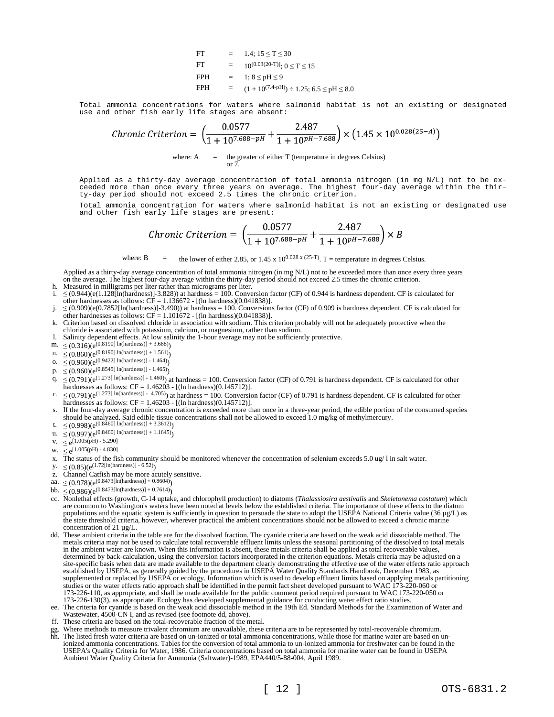FT = 1.4; 15 ≤ T ≤ 30 FT = 10[0.03(20-T)]; 0 ≤ T ≤ 15 FPH = 1; 8 ≤ pH ≤ 9 FPH = (1 + 10(7.4-pH)) ÷ 1.25; 6.5 ≤ pH ≤ 8.0

Total ammonia concentrations for waters where salmonid habitat is not an existing or designated use and other fish early life stages are absent:

$$
Chronic\,Criterion = \left(\frac{0.0577}{1 + 10^{7.688 - pH}} + \frac{2.487}{1 + 10^{pH - 7.688}}\right) \times \left(1.45 \times 10^{0.028(25-A)}\right)
$$

where:  $A =$  the greater of either T (temperature in degrees Celsius) or 7.

Applied as a thirty-day average concentration of total ammonia nitrogen (in mg N/L) not to be exceeded more than once every three years on average. The highest four-day average within the thirty-day period should not exceed 2.5 times the chronic criterion.

Total ammonia concentration for waters where salmonid habitat is not an existing or designated use and other fish early life stages are present:

$$
Chronic\,Criterion = \left(\frac{0.0577}{1 + 10^{7.688 - pH}} + \frac{2.487}{1 + 10^{pH - 7.688}}\right) \times B
$$

where: B = the lower of either 2.85, or 1.45 x  $10^{0.028 \times (25-T)}$ . T = temperature in degrees Celsius.

Applied as a thirty-day average concentration of total ammonia nitrogen (in mg N/L) not to be exceeded more than once every three years on the average. The highest four-day average within the thirty-day period should not exceed 2.5 times the chronic criterion. h. Measured in milligrams per liter rather than micrograms per liter.

- i. ≤ (0.944)(e(1.128[ln(hardness)]-3.828)) at hardness = 100. Conversion factor (CF) of 0.944 is hardness dependent. CF is calculated for other hardnesses as follows:  $CF = 1.136672 - [(ln hardness)(0.041838)].$
- j.  $≤$  (0.909)(e(0.7852[ln(hardness)]-3.490)) at hardness = 100. Conversions factor (CF) of 0.909 is hardness dependent. CF is calculated for other hardnesses as follows: CF = 1.101672 - [(ln hardness)(0.041838)].
- k. Criterion based on dissolved chloride in association with sodium. This criterion probably will not be adequately protective when the chloride is associated with potassium, calcium, or magnesium, rather than sodium.
- l. Salinity dependent effects. At low salinity the 1-hour average may not be sufficiently protective.
- m.  $\leq (0.316)(e^{(0.8190[ln(hardness)] + 3.688)})$
- n.  $\leq (0.860)(e^{(0.8190[ \ln(hardness)] + 1.561)})$
- o.  $\leq (0.960)(e^{(0.9422[ln(hardness)] 1.464)})$
- p.  $\leq (0.960)(e^{(0.8545[1n(hardness)] 1.465)})$
- $q. \leq (0.791)(e^{(1.273[ln(hardness)] 1.460)})$  at hardness = 100. Conversion factor (CF) of 0.791 is hardness dependent. CF is calculated for other hardnesses as follows:  $CF = 1.46203 - [(ln hardness)(0.145712)].$
- r.  $\leq (0.791)(e^{(1.273[ln(hardness)] 4.705)})$  at hardness = 100. Conversion factor (CF) of 0.791 is hardness dependent. CF is calculated for other hardnesses as follows:  $CF = 1.46203$  - [(ln hardness)(0.145712)].
- s. If the four-day average chronic concentration is exceeded more than once in a three-year period, the edible portion of the consumed species should be analyzed. Said edible tissue concentrations shall not be allowed to exceed 1.0 mg/kg of methylmercury.
- t.  $\leq (0.998)(e^{(0.8460[ln(hardness)] + 3.3612)})$
- u.  $\leq (0.997)(e^{(0.8460[ln(hardness)] + 1.1645)})$
- $v. \leq e^{[1.005(pH) 5.290]}$
- w.  $\leq e^{[1.005(pH) 4.830]}$
- x. The status of the fish community should be monitored whenever the concentration of selenium exceeds 5.0 ug/ l in salt water.
- $y \le (0.85)(e^{(1.72[\ln(hardness)] 6.52)})$
- z. Channel Catfish may be more acutely sensitive.
- aa.  $\leq (0.978)(e^{(0.8473[ln(hardness)] + 0.8604)})$
- bb.  $\leq (0.986)(e^{(0.8473[ln(hardness)] + 0.7614)})$
- cc. Nonlethal effects (growth, C-14 uptake, and chlorophyll production) to diatoms (*Thalassiosira aestivalis* and *Skeletonema costatum*) which are common to Washington's waters have been noted at levels below the established criteria. The importance of these effects to the diatom populations and the aquatic system is sufficiently in question to persuade the state to adopt the USEPA National Criteria value (36  $\mu$ g/L) as the state threshold criteria, however, wherever practical the ambient concentrations should not be allowed to exceed a chronic marine concentration of 21 µg/L. dd. These ambient criteria in the table are for the dissolved fraction. The cyanide criteria are based on the weak acid dissociable method. The
- metals criteria may not be used to calculate total recoverable effluent limits unless the seasonal partitioning of the dissolved to total metals in the ambient water are known. When this information is absent, these metals criteria shall be applied as total recoverable values, determined by back-calculation, using the conversion factors incorporated in the criterion equations. Metals criteria may be adjusted on a site-specific basis when data are made available to the department clearly demonstrating the effective use of the water effects ratio approach established by USEPA, as generally guided by the procedures in USEPA Water Quality Standards Handbook, December 1983, as supplemented or replaced by USEPA or ecology. Information which is used to develop effluent limits based on applying metals partitioning studies or the water effects ratio approach shall be identified in the permit fact sheet developed pursuant to WAC 173-220-060 or 173-226-110, as appropriate, and shall be made available for the public comment period required pursuant to WAC 173-220-050 or 173-226-130(3), as appropriate. Ecology has developed supplemental guidance for conducting water effect ratio studies.
- ee. The criteria for cyanide is based on the weak acid dissociable method in the 19th Ed. Standard Methods for the Examination of Water and Wastewater, 4500-CN I, and as revised (see footnote dd, above).
- ff. These criteria are based on the total-recoverable fraction of the metal.
- gg. Where methods to measure trivalent chromium are unavailable, these criteria are to be represented by total-recoverable chromium.
- hh. The listed fresh water criteria are based on un-ionized or total ammonia concentrations, while those for marine water are based on unionized ammonia concentrations. Tables for the conversion of total ammonia to un-ionized ammonia for freshwater can be found in the USEPA's Quality Criteria for Water, 1986. Criteria concentrations based on total ammonia for marine water can be found in USEPA Ambient Water Quality Criteria for Ammonia (Saltwater)-1989, EPA440/5-88-004, April 1989.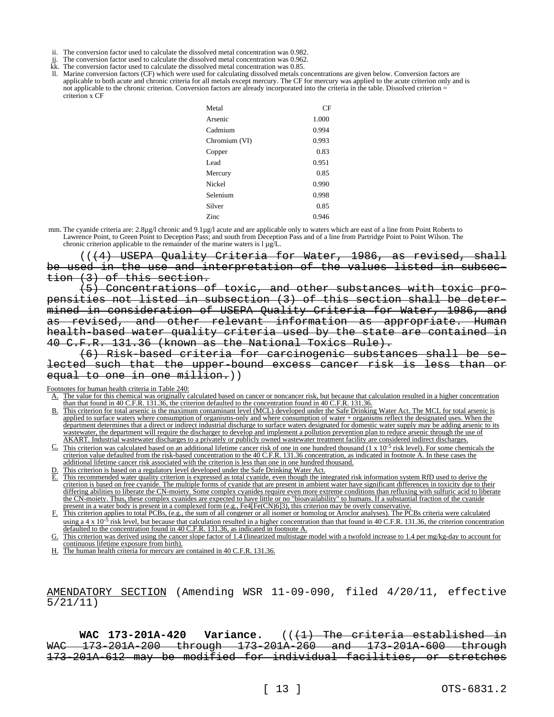- ii. The conversion factor used to calculate the dissolved metal concentration was 0.982.
- The conversion factor used to calculate the dissolved metal concentration was 0.962.
- $\tilde{k}$ . The conversion factor used to calculate the dissolved metal concentration was 0.85.

ll. Marine conversion factors (CF) which were used for calculating dissolved metals concentrations are given below. Conversion factors are applicable to both acute and chronic criteria for all metals except mercury. The CF for mercury was applied to the acute criterion only and is not applicable to the chronic criterion. Conversion factors are already incorporated into the criteria in the table. Dissolved criterion = criterion x CF

| Metal         | CF    |
|---------------|-------|
| Arsenic       | 1.000 |
| Cadmium       | 0.994 |
| Chromium (VI) | 0.993 |
| Copper        | 0.83  |
| Lead          | 0.951 |
| Mercury       | 0.85  |
| Nickel        | 0.990 |
| Selenium      | 0.998 |
| Silver        | 0.85  |
| Zinc          | 0.946 |

mm. The cyanide criteria are: 2.8µg/l chronic and 9.1µg/l acute and are applicable only to waters which are east of a line from Point Roberts to Lawrence Point, to Green Point to Deception Pass; and south from Deception Pass and of a line from Partridge Point to Point Wilson. The chronic criterion applicable to the remainder of the marine waters is  $1 \mu g/L$ .

(((4) USEPA Quality Criteria for Water, 1986, as revised, shall be used in the use and interpretation of the values listed in subsection (3) of this section.

(5) Concentrations of toxic, and other substances with toxic propensities not listed in subsection (3) of this section shall be determined in consideration of USEPA Quality Criteria for Water, 1986, and as revised, and other relevant information as appropriate. Human health-based water quality criteria used by the state are contained in 40 C.F.R. 131.36 (known as the National Toxics Rule).

(6) Risk-based criteria for carcinogenic substances shall be selected such that the upper-bound excess cancer risk is less than or equal to one in one million.))

Footnotes for human health criteria in Table 240:

- A. The value for this chemical was originally calculated based on cancer or noncancer risk, but because that calculation resulted in a higher concentration than that found in 40 C.F.R. 131.36, the criterion defaulted to the concentration found in 40 C.F.R. 131.36.
- B. This criterion for total arsenic is the maximum contaminant level (MCL) developed under the Safe Drinking Water Act. The MCL for total arsenic is applied to surface waters where consumption of organisms-only and where consumption of water + organisms reflect the designated uses. When the department determines that a direct or indirect industrial discharge to surface waters designated for domestic water supply may be adding arsenic to its wastewater, the department will require the discharger to develop and implement a pollution prevention plan to reduce arsenic through the use of AKART. Industrial wastewater discharges to a privately or publicly owned wastewater treatment facility are considered indirect discharges.
- $\frac{C_1}{C_2}$  This criterion was calculated based on an additional lifetime cancer risk of one in one hundred thousand (1 x 10<sup>-5</sup> risk level). For some chemicals the criterion value defaulted from the risk-based concentration to the 40 C.F.R. 131.36 concentration, as indicated in footnote A. In these cases the additional lifetime cancer risk associated with the criterion is less than one in one hundred thousand.
- D. This criterion is based on a regulatory level developed under the Safe Drinking Water Act. E. This recommended water quality criterion is expressed as total cyanide, even though the integrated risk information system RfD used to derive the criterion is based on free cyanide. The multiple forms of cyanide that are present in ambient water have significant differences in toxicity due to their differing abilities to liberate the CN-moiety. Some complex cyanides require even more extreme conditions than refluxing with sulfuric acid to liberate the CN-moiety. Thus, these complex cyanides are expected to have little or no "bioavailability" to humans. If a substantial fraction of the cyanide present in a water body is present in a complexed form (e.g., Fe4[Fe(CN)6]3), this criterion may be overly conservative.

F. This criterion applies to total PCBs, (e.g., the sum of all congener or all isomer or homolog or Aroclor analyses). The PCBs criteria were calculated using a 4 x  $10^{-5}$  risk level, but because that calculation resulted in a higher concentration than that found in 40 C.F.R. 131.36, the criterion concentration defaulted to the concentration found in 40 C.F.R. 131.36, as indicated in footnote A.

- G. This criterion was derived using the cancer slope factor of 1.4 (linearized multistage model with a twofold increase to 1.4 per mg/kg-day to account for continuous lifetime exposure from birth).
- H. The human health criteria for mercury are contained in 40 C.F.R. 131.36.

AMENDATORY SECTION (Amending WSR 11-09-090, filed 4/20/11, effective 5/21/11)

WAC 173-201A-420 Variance. (( $\text{+1}$ ) The criteria established in WAC 173-201A-200 through 173-201A-260 and 173-201A-600 through 173-201A-612 may be modified for individual facilities, or stretches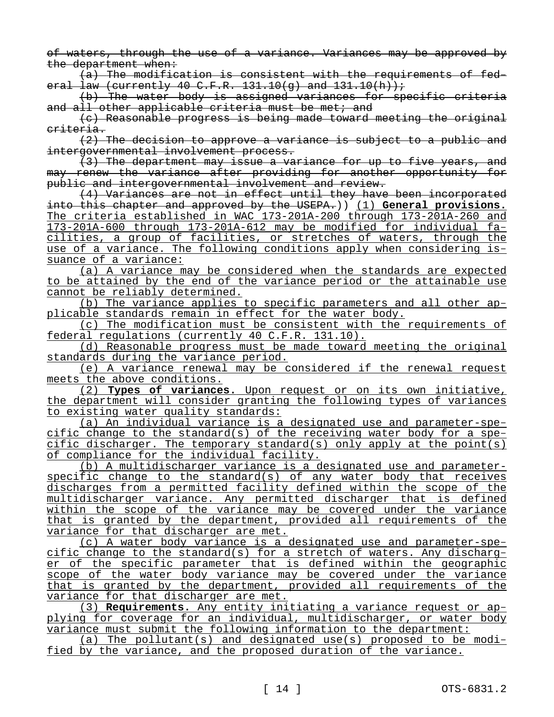of waters, through the use of a variance. Variances may be approved by the department when:

(a) The modification is consistent with the requirements of federal law (currently 40 C.F.R. 131.10(g) and  $131.10(h)$ ;

(b) The water body is assigned variances for specific criteria and all other applicable criteria must be met; and

(c) Reasonable progress is being made toward meeting the original criteria.

(2) The decision to approve a variance is subject to a public and intergovernmental involvement process.

(3) The department may issue a variance for up to five years, and may renew the variance after providing for another opportunity for public and intergovernmental involvement and review.

(4) Variances are not in effect until they have been incorporated into this chapter and approved by the USEPA.)) (1) **General provisions.**  The criteria established in WAC 173-201A-200 through 173-201A-260 and 173-201A-600 through 173-201A-612 may be modified for individual facilities, a group of facilities, or stretches of waters, through the use of a variance. The following conditions apply when considering issuance of a variance:

(a) A variance may be considered when the standards are expected to be attained by the end of the variance period or the attainable use cannot be reliably determined.

(b) The variance applies to specific parameters and all other applicable standards remain in effect for the water body.

(c) The modification must be consistent with the requirements of federal regulations (currently 40 C.F.R. 131.10).

(d) Reasonable progress must be made toward meeting the original standards during the variance period.

(e) A variance renewal may be considered if the renewal request meets the above conditions.

(2) **Types of variances.** Upon request or on its own initiative, the department will consider granting the following types of variances to existing water quality standards:

(a) An individual variance is a designated use and parameter-specific change to the standard(s) of the receiving water body for a specific discharger. The temporary standard(s) only apply at the point(s) of compliance for the individual facility.

(b) A multidischarger variance is a designated use and parameterspecific change to the standard(s) of any water body that receives discharges from a permitted facility defined within the scope of the multidischarger variance. Any permitted discharger that is defined within the scope of the variance may be covered under the variance that is granted by the department, provided all requirements of the variance for that discharger are met.

(c) A water body variance is a designated use and parameter-specific change to the standard(s) for a stretch of waters. Any discharger of the specific parameter that is defined within the geographic scope of the water body variance may be covered under the variance that is granted by the department, provided all requirements of the variance for that discharger are met.

(3) **Requirements.** Any entity initiating a variance request or applying for coverage for an individual, multidischarger, or water body variance must submit the following information to the department:

(a) The pollutant(s) and designated use(s) proposed to be modified by the variance, and the proposed duration of the variance.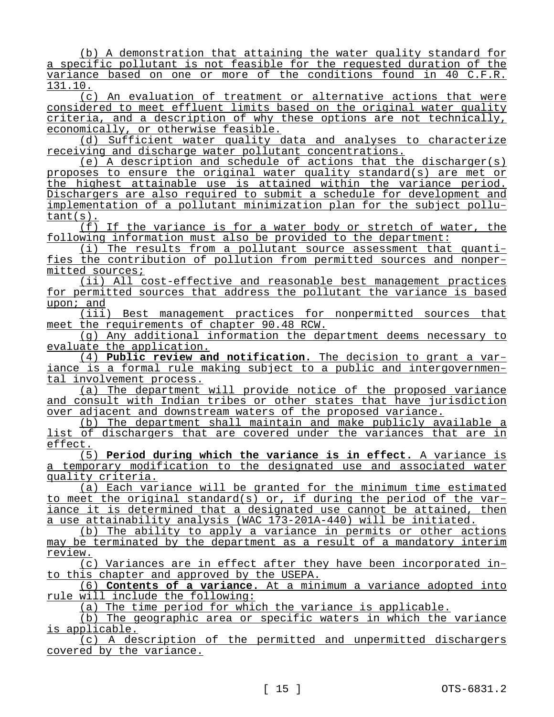(b) A demonstration that attaining the water quality standard for a specific pollutant is not feasible for the requested duration of the variance based on one or more of the conditions found in 40 C.F.R. 131.10.

(c) An evaluation of treatment or alternative actions that were considered to meet effluent limits based on the original water quality criteria, and a description of why these options are not technically, economically, or otherwise feasible.

(d) Sufficient water quality data and analyses to characterize receiving and discharge water pollutant concentrations.

(e) A description and schedule of actions that the discharger(s) proposes to ensure the original water quality standard(s) are met or the highest attainable use is attained within the variance period. Dischargers are also required to submit a schedule for development and implementation of a pollutant minimization plan for the subject pollutant(s).

(f) If the variance is for a water body or stretch of water, the following information must also be provided to the department:

(i) The results from a pollutant source assessment that quantifies the contribution of pollution from permitted sources and nonpermitted sources;

(ii) All cost-effective and reasonable best management practices for permitted sources that address the pollutant the variance is based upon; and

(iii) Best management practices for nonpermitted sources that meet the requirements of chapter 90.48 RCW.

(g) Any additional information the department deems necessary to evaluate the application.

(4) **Public review and notification.** The decision to grant a variance is a formal rule making subject to a public and intergovernmental involvement process.

(a) The department will provide notice of the proposed variance and consult with Indian tribes or other states that have jurisdiction over adjacent and downstream waters of the proposed variance.

(b) The department shall maintain and make publicly available a list of dischargers that are covered under the variances that are in effect.

(5) **Period during which the variance is in effect.** A variance is a temporary modification to the designated use and associated water quality criteria.

(a) Each variance will be granted for the minimum time estimated to meet the original standard(s) or, if during the period of the variance it is determined that a designated use cannot be attained, then a use attainability analysis (WAC 173-201A-440) will be initiated.

(b) The ability to apply a variance in permits or other actions may be terminated by the department as a result of a mandatory interim review.

(c) Variances are in effect after they have been incorporated into this chapter and approved by the USEPA.

(6) **Contents of a variance.** At a minimum a variance adopted into rule will include the following:

(a) The time period for which the variance is applicable.

(b) The geographic area or specific waters in which the variance is applicable.

(c) A description of the permitted and unpermitted dischargers covered by the variance.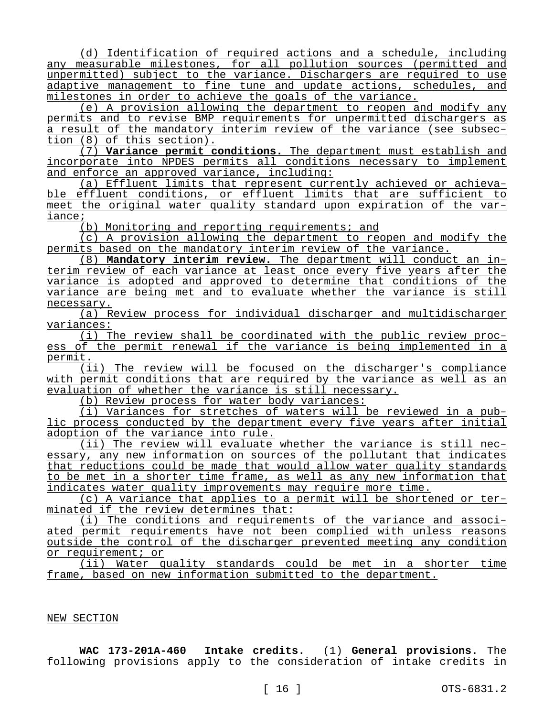(d) Identification of required actions and a schedule, including any measurable milestones, for all pollution sources (permitted and unpermitted) subject to the variance. Dischargers are required to use adaptive management to fine tune and update actions, schedules, and milestones in order to achieve the goals of the variance.

(e) A provision allowing the department to reopen and modify any permits and to revise BMP requirements for unpermitted dischargers as a result of the mandatory interim review of the variance (see subsection (8) of this section).

(7) **Variance permit conditions.** The department must establish and incorporate into NPDES permits all conditions necessary to implement and enforce an approved variance, including:

(a) Effluent limits that represent currently achieved or achievable effluent conditions, or effluent limits that are sufficient to meet the original water quality standard upon expiration of the variance;

(b) Monitoring and reporting requirements; and

(c) A provision allowing the department to reopen and modify the permits based on the mandatory interim review of the variance.

(8) **Mandatory interim review.** The department will conduct an interim review of each variance at least once every five years after the variance is adopted and approved to determine that conditions of the variance are being met and to evaluate whether the variance is still necessary.

(a) Review process for individual discharger and multidischarger variances:

(i) The review shall be coordinated with the public review process of the permit renewal if the variance is being implemented in a permit.

(ii) The review will be focused on the discharger's compliance with permit conditions that are required by the variance as well as an evaluation of whether the variance is still necessary.

(b) Review process for water body variances:

(i) Variances for stretches of waters will be reviewed in a public process conducted by the department every five years after initial adoption of the variance into rule.

(ii) The review will evaluate whether the variance is still necessary, any new information on sources of the pollutant that indicates that reductions could be made that would allow water quality standards to be met in a shorter time frame, as well as any new information that indicates water quality improvements may require more time.

(c) A variance that applies to a permit will be shortened or terminated if the review determines that:

(i) The conditions and requirements of the variance and associated permit requirements have not been complied with unless reasons outside the control of the discharger prevented meeting any condition or requirement; or

(ii) Water quality standards could be met in a shorter time frame, based on new information submitted to the department.

## NEW SECTION

**WAC 173-201A-460 Intake credits.** (1) **General provisions.** The following provisions apply to the consideration of intake credits in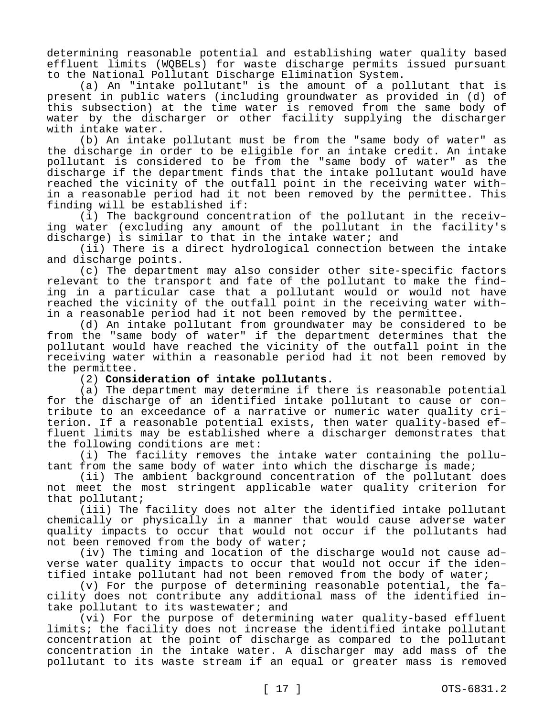determining reasonable potential and establishing water quality based effluent limits (WQBELs) for waste discharge permits issued pursuant to the National Pollutant Discharge Elimination System.

(a) An "intake pollutant" is the amount of a pollutant that is present in public waters (including groundwater as provided in (d) of this subsection) at the time water is removed from the same body of water by the discharger or other facility supplying the discharger with intake water.

(b) An intake pollutant must be from the "same body of water" as the discharge in order to be eligible for an intake credit. An intake pollutant is considered to be from the "same body of water" as the discharge if the department finds that the intake pollutant would have reached the vicinity of the outfall point in the receiving water within a reasonable period had it not been removed by the permittee. This finding will be established if:

(i) The background concentration of the pollutant in the receiving water (excluding any amount of the pollutant in the facility's discharge) is similar to that in the intake water; and

(ii) There is a direct hydrological connection between the intake and discharge points.

(c) The department may also consider other site-specific factors relevant to the transport and fate of the pollutant to make the finding in a particular case that a pollutant would or would not have reached the vicinity of the outfall point in the receiving water within a reasonable period had it not been removed by the permittee.

(d) An intake pollutant from groundwater may be considered to be from the "same body of water" if the department determines that the pollutant would have reached the vicinity of the outfall point in the receiving water within a reasonable period had it not been removed by the permittee.

(2) **Consideration of intake pollutants.**

(a) The department may determine if there is reasonable potential for the discharge of an identified intake pollutant to cause or contribute to an exceedance of a narrative or numeric water quality criterion. If a reasonable potential exists, then water quality-based effluent limits may be established where a discharger demonstrates that the following conditions are met:

(i) The facility removes the intake water containing the pollutant from the same body of water into which the discharge is made;

(ii) The ambient background concentration of the pollutant does not meet the most stringent applicable water quality criterion for that pollutant;

(iii) The facility does not alter the identified intake pollutant chemically or physically in a manner that would cause adverse water quality impacts to occur that would not occur if the pollutants had not been removed from the body of water;

(iv) The timing and location of the discharge would not cause adverse water quality impacts to occur that would not occur if the identified intake pollutant had not been removed from the body of water;

(v) For the purpose of determining reasonable potential, the facility does not contribute any additional mass of the identified intake pollutant to its wastewater; and

(vi) For the purpose of determining water quality-based effluent limits; the facility does not increase the identified intake pollutant concentration at the point of discharge as compared to the pollutant concentration in the intake water. A discharger may add mass of the pollutant to its waste stream if an equal or greater mass is removed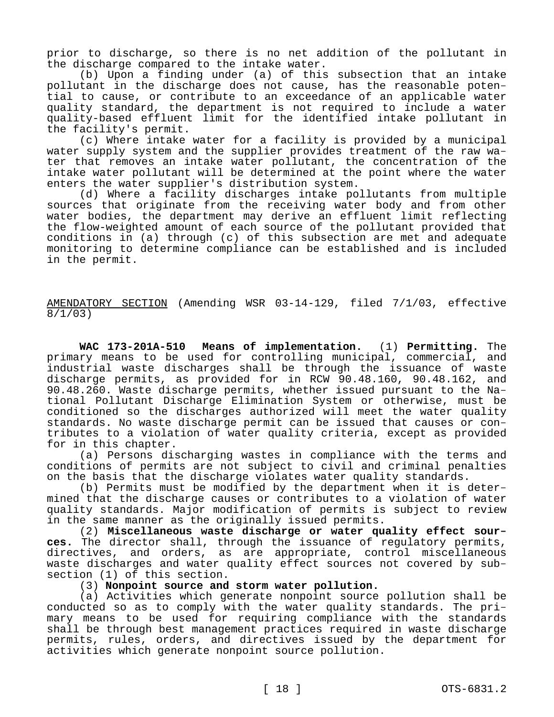prior to discharge, so there is no net addition of the pollutant in the discharge compared to the intake water.

(b) Upon a finding under (a) of this subsection that an intake pollutant in the discharge does not cause, has the reasonable potential to cause, or contribute to an exceedance of an applicable water quality standard, the department is not required to include a water quality-based effluent limit for the identified intake pollutant in the facility's permit.

(c) Where intake water for a facility is provided by a municipal water supply system and the supplier provides treatment of the raw water that removes an intake water pollutant, the concentration of the intake water pollutant will be determined at the point where the water enters the water supplier's distribution system.

(d) Where a facility discharges intake pollutants from multiple sources that originate from the receiving water body and from other water bodies, the department may derive an effluent limit reflecting the flow-weighted amount of each source of the pollutant provided that conditions in (a) through (c) of this subsection are met and adequate monitoring to determine compliance can be established and is included in the permit.

AMENDATORY SECTION (Amending WSR 03-14-129, filed 7/1/03, effective 8/1/03)

**WAC 173-201A-510 Means of implementation.** (1) **Permitting.** The primary means to be used for controlling municipal, commercial, and industrial waste discharges shall be through the issuance of waste discharge permits, as provided for in RCW 90.48.160, 90.48.162, and 90.48.260. Waste discharge permits, whether issued pursuant to the National Pollutant Discharge Elimination System or otherwise, must be conditioned so the discharges authorized will meet the water quality standards. No waste discharge permit can be issued that causes or contributes to a violation of water quality criteria, except as provided for in this chapter.

(a) Persons discharging wastes in compliance with the terms and conditions of permits are not subject to civil and criminal penalties on the basis that the discharge violates water quality standards.

(b) Permits must be modified by the department when it is determined that the discharge causes or contributes to a violation of water quality standards. Major modification of permits is subject to review in the same manner as the originally issued permits.

(2) **Miscellaneous waste discharge or water quality effect sources.** The director shall, through the issuance of regulatory permits, directives, and orders, as are appropriate, control miscellaneous waste discharges and water quality effect sources not covered by subsection (1) of this section.

(3) **Nonpoint source and storm water pollution.**

(a) Activities which generate nonpoint source pollution shall be conducted so as to comply with the water quality standards. The primary means to be used for requiring compliance with the standards shall be through best management practices required in waste discharge permits, rules, orders, and directives issued by the department for activities which generate nonpoint source pollution.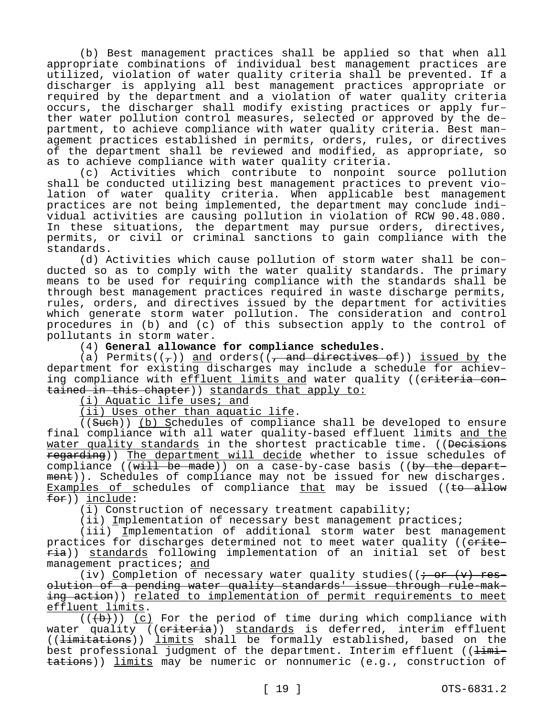(b) Best management practices shall be applied so that when all appropriate combinations of individual best management practices are utilized, violation of water quality criteria shall be prevented. If a discharger is applying all best management practices appropriate or required by the department and a violation of water quality criteria occurs, the discharger shall modify existing practices or apply further water pollution control measures, selected or approved by the department, to achieve compliance with water quality criteria. Best management practices established in permits, orders, rules, or directives of the department shall be reviewed and modified, as appropriate, so as to achieve compliance with water quality criteria.

(c) Activities which contribute to nonpoint source pollution shall be conducted utilizing best management practices to prevent violation of water quality criteria. When applicable best management practices are not being implemented, the department may conclude individual activities are causing pollution in violation of RCW 90.48.080. In these situations, the department may pursue orders, directives, permits, or civil or criminal sanctions to gain compliance with the standards.

(d) Activities which cause pollution of storm water shall be conducted so as to comply with the water quality standards. The primary means to be used for requiring compliance with the standards shall be through best management practices required in waste discharge permits, rules, orders, and directives issued by the department for activities which generate storm water pollution. The consideration and control procedures in (b) and (c) of this subsection apply to the control of pollutants in storm water.

## (4) **General allowance for compliance schedules.**

(a) Permits( $(\tau)$ ) and orders( $(\tau)$  and directives of)) issued by the department for existing discharges may include a schedule for achieving compliance with effluent limits and water quality ((eriteria contained in this chapter)) standards that apply to:

(i) Aquatic life uses; and

(ii) Uses other than aquatic life.

((Such)) (b) Schedules of compliance shall be developed to ensure final compliance with all water quality-based effluent limits and the water quality standards in the shortest practicable time. ((Decisions regarding)) The department will decide whether to issue schedules of compliance (( $\text{with}$  be made)) on a case-by-case basis ((by the department)). Schedules of compliance may not be issued for new discharges. Examples of schedules of compliance that may be issued ((to allow for)) include:

(i) Construction of necessary treatment capability;

(ii) Implementation of necessary best management practices;

(iii) Implementation of additional storm water best management practices for discharges determined not to meet water quality ((eriteria)) standards following implementation of an initial set of best management practices; and

(iv) Completion of necessary water quality studies( $(i - or (v)$  resolution of a pending water quality standards' issue through rule-making action)) related to implementation of permit requirements to meet effluent limits.

 $((+b))$  (c) For the period of time during which compliance with water quality ((criteria)) standards is deferred, interim effluent ((<del>limitations</del>)) limits shall be formally established, based on the best professional judgment of the department. Interim effluent ((limitations)) limits may be numeric or nonnumeric (e.g., construction of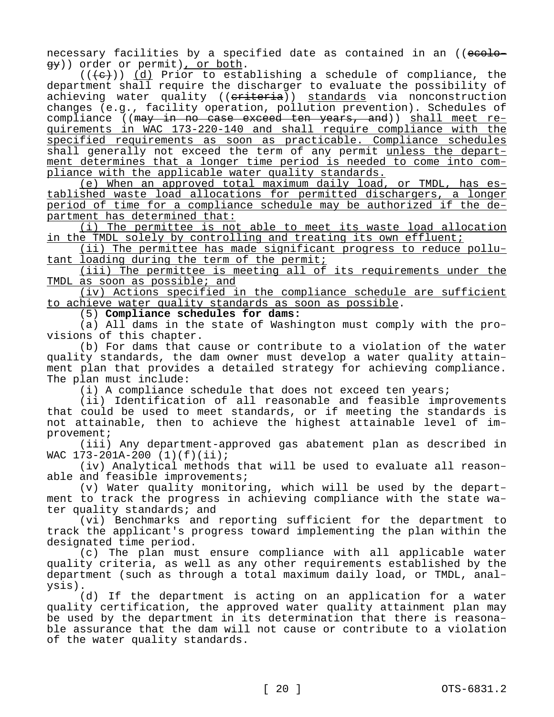necessary facilities by a specified date as contained in an ((ecology)) order or permit), or both.

 $((+e))$  (d) Prior to establishing a schedule of compliance, the department shall require the discharger to evaluate the possibility of achieving water quality ((eriteria)) standards via nonconstruction changes (e.g., facility operation, pollution prevention). Schedules of compliance ((<del>may in no case exceed ten years, and</del>)) <u>shall meet re-</u> quirements in WAC 173-220-140 and shall require compliance with the specified requirements as soon as practicable. Compliance schedules shall generally not exceed the term of any permit unless the department determines that a longer time period is needed to come into compliance with the applicable water quality standards.

(e) When an approved total maximum daily load, or TMDL, has established waste load allocations for permitted dischargers, a longer period of time for a compliance schedule may be authorized if the department has determined that:

(i) The permittee is not able to meet its waste load allocation in the TMDL solely by controlling and treating its own effluent;

(ii) The permittee has made significant progress to reduce pollutant loading during the term of the permit;

(iii) The permittee is meeting all of its requirements under the TMDL as soon as possible; and

(iv) Actions specified in the compliance schedule are sufficient to achieve water quality standards as soon as possible.

(5) **Compliance schedules for dams:**

(a) All dams in the state of Washington must comply with the provisions of this chapter.

(b) For dams that cause or contribute to a violation of the water quality standards, the dam owner must develop a water quality attainment plan that provides a detailed strategy for achieving compliance. The plan must include:

(i) A compliance schedule that does not exceed ten years;

(ii) Identification of all reasonable and feasible improvements that could be used to meet standards, or if meeting the standards is not attainable, then to achieve the highest attainable level of improvement;

(iii) Any department-approved gas abatement plan as described in WAC 173-201A-200 (1)(f)(ii);

(iv) Analytical methods that will be used to evaluate all reasonable and feasible improvements;

(v) Water quality monitoring, which will be used by the department to track the progress in achieving compliance with the state water quality standards; and

(vi) Benchmarks and reporting sufficient for the department to track the applicant's progress toward implementing the plan within the designated time period.

(c) The plan must ensure compliance with all applicable water quality criteria, as well as any other requirements established by the department (such as through a total maximum daily load, or TMDL, analysis).

(d) If the department is acting on an application for a water quality certification, the approved water quality attainment plan may be used by the department in its determination that there is reasonable assurance that the dam will not cause or contribute to a violation of the water quality standards.